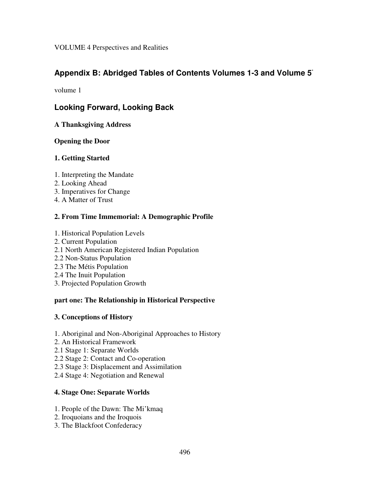VOLUME 4 Perspectives and Realities

# **Appendix B: Abridged Tables of Contents Volumes 1-3 and Volume 5** \*

volume 1

# **Looking Forward, Looking Back**

**A Thanksgiving Address**

## **Opening the Door**

## **1. Getting Started**

- 1. Interpreting the Mandate
- 2. Looking Ahead
- 3. Imperatives for Change
- 4. A Matter of Trust

## **2. From Time Immemorial: A Demographic Profile**

- 1. Historical Population Levels
- 2. Current Population
- 2.1 North American Registered Indian Population
- 2.2 Non-Status Population
- 2.3 The Métis Population
- 2.4 The Inuit Population
- 3. Projected Population Growth

## **part one: The Relationship in Historical Perspective**

## **3. Conceptions of History**

- 1. Aboriginal and Non-Aboriginal Approaches to History
- 2. An Historical Framework
- 2.1 Stage 1: Separate Worlds
- 2.2 Stage 2: Contact and Co-operation
- 2.3 Stage 3: Displacement and Assimilation
- 2.4 Stage 4: Negotiation and Renewal

## **4. Stage One: Separate Worlds**

- 1. People of the Dawn: The Mi'kmaq
- 2. Iroquoians and the Iroquois
- 3. The Blackfoot Confederacy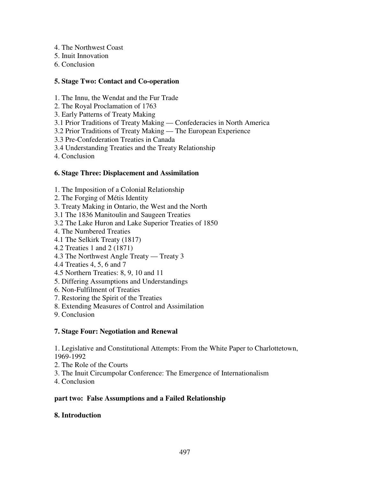- 4. The Northwest Coast
- 5. Inuit Innovation
- 6. Conclusion

## **5. Stage Two: Contact and Co-operation**

- 1. The Innu, the Wendat and the Fur Trade
- 2. The Royal Proclamation of 1763
- 3. Early Patterns of Treaty Making
- 3.1 Prior Traditions of Treaty Making Confederacies in North America
- 3.2 Prior Traditions of Treaty Making The European Experience
- 3.3 Pre-Confederation Treaties in Canada
- 3.4 Understanding Treaties and the Treaty Relationship
- 4. Conclusion

## **6. Stage Three: Displacement and Assimilation**

- 1. The Imposition of a Colonial Relationship
- 2. The Forging of Métis Identity
- 3. Treaty Making in Ontario, the West and the North
- 3.1 The 1836 Manitoulin and Saugeen Treaties
- 3.2 The Lake Huron and Lake Superior Treaties of 1850
- 4. The Numbered Treaties
- 4.1 The Selkirk Treaty (1817)
- 4.2 Treaties 1 and 2 (1871)
- 4.3 The Northwest Angle Treaty Treaty 3
- 4.4 Treaties 4, 5, 6 and 7
- 4.5 Northern Treaties: 8, 9, 10 and 11
- 5. Differing Assumptions and Understandings
- 6. Non-Fulfilment of Treaties
- 7. Restoring the Spirit of the Treaties
- 8. Extending Measures of Control and Assimilation
- 9. Conclusion

## **7. Stage Four: Negotiation and Renewal**

1. Legislative and Constitutional Attempts: From the White Paper to Charlottetown, 1969-1992

- 2. The Role of the Courts
- 3. The Inuit Circumpolar Conference: The Emergence of Internationalism
- 4. Conclusion

## **part two: False Assumptions and a Failed Relationship**

## **8. Introduction**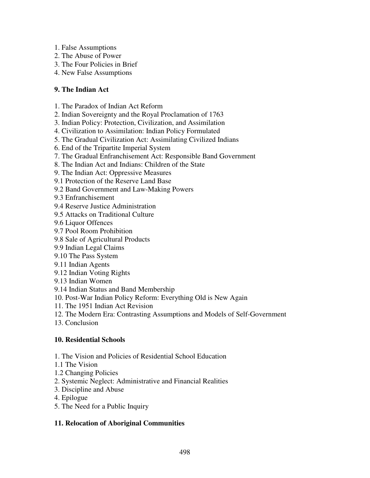- 1. False Assumptions
- 2. The Abuse of Power
- 3. The Four Policies in Brief
- 4. New False Assumptions

## **9. The Indian Act**

- 1. The Paradox of Indian Act Reform
- 2. Indian Sovereignty and the Royal Proclamation of 1763
- 3. Indian Policy: Protection, Civilization, and Assimilation
- 4. Civilization to Assimilation: Indian Policy Formulated
- 5. The Gradual Civilization Act: Assimilating Civilized Indians
- 6. End of the Tripartite Imperial System
- 7. The Gradual Enfranchisement Act: Responsible Band Government
- 8. The Indian Act and Indians: Children of the State
- 9. The Indian Act: Oppressive Measures
- 9.1 Protection of the Reserve Land Base
- 9.2 Band Government and Law-Making Powers
- 9.3 Enfranchisement
- 9.4 Reserve Justice Administration
- 9.5 Attacks on Traditional Culture
- 9.6 Liquor Offences
- 9.7 Pool Room Prohibition
- 9.8 Sale of Agricultural Products
- 9.9 Indian Legal Claims
- 9.10 The Pass System
- 9.11 Indian Agents
- 9.12 Indian Voting Rights
- 9.13 Indian Women
- 9.14 Indian Status and Band Membership
- 10. Post-War Indian Policy Reform: Everything Old is New Again
- 11. The 1951 Indian Act Revision
- 12. The Modern Era: Contrasting Assumptions and Models of Self-Government
- 13. Conclusion

## **10. Residential Schools**

- 1. The Vision and Policies of Residential School Education
- 1.1 The Vision
- 1.2 Changing Policies
- 2. Systemic Neglect: Administrative and Financial Realities
- 3. Discipline and Abuse
- 4. Epilogue
- 5. The Need for a Public Inquiry

## **11. Relocation of Aboriginal Communities**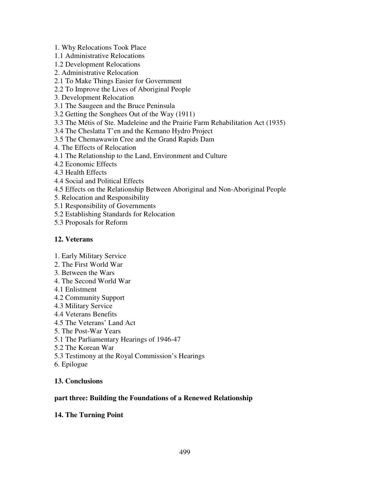- 1. Why Relocations Took Place
- 1.1 Administrative Relocations
- 1.2 Development Relocations
- 2. Administrative Relocation

#### 2.1 To Make Things Easier for Government

- 2.2 To Improve the Lives of Aboriginal People
- 3. Development Relocation
- 3.1 The Saugeen and the Bruce Peninsula
- 3.2 Getting the Songhees Out of the Way (1911)
- 3.3 The Métis of Ste. Madeleine and the Prairie Farm Rehabilitation Act (1935)
- 3.4 The Cheslatta T'en and the Kemano Hydro Project
- 3.5 The Chemawawin Cree and the Grand Rapids Dam
- 4. The Effects of Relocation
- 4.1 The Relationship to the Land, Environment and Culture
- 4.2 Economic Effects
- 4.3 Health Effects
- 4.4 Social and Political Effects
- 4.5 Effects on the Relationship Between Aboriginal and Non-Aboriginal People
- 5. Relocation and Responsibility
- 5.1 Responsibility of Governments
- 5.2 Establishing Standards for Relocation
- 5.3 Proposals for Reform

### **12. Veterans**

- 1. Early Military Service
- 2. The First World War
- 3. Between the Wars
- 4. The Second World War
- 4.1 Enlistment
- 4.2 Community Support
- 4.3 Military Service
- 4.4 Veterans Benefits
- 4.5 The Veterans' Land Act
- 5. The Post-War Years
- 5.1 The Parliamentary Hearings of 1946-47
- 5.2 The Korean War
- 5.3 Testimony at the Royal Commission's Hearings
- 6. Epilogue

## **13. Conclusions**

#### **part three: Building the Foundations of a Renewed Relationship**

## **14. The Turning Point**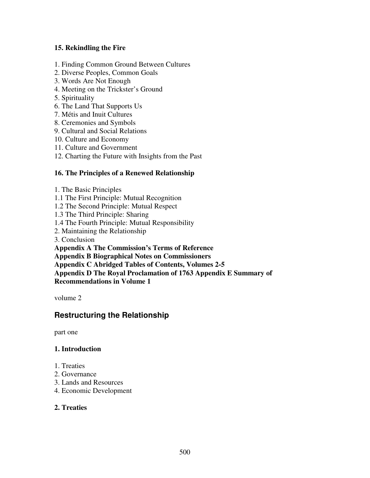## **15. Rekindling the Fire**

- 1. Finding Common Ground Between Cultures
- 2. Diverse Peoples, Common Goals
- 3. Words Are Not Enough
- 4. Meeting on the Trickster's Ground
- 5. Spirituality
- 6. The Land That Supports Us
- 7. Métis and Inuit Cultures
- 8. Ceremonies and Symbols
- 9. Cultural and Social Relations
- 10. Culture and Economy
- 11. Culture and Government
- 12. Charting the Future with Insights from the Past

#### **16. The Principles of a Renewed Relationship**

- 1. The Basic Principles
- 1.1 The First Principle: Mutual Recognition
- 1.2 The Second Principle: Mutual Respect
- 1.3 The Third Principle: Sharing
- 1.4 The Fourth Principle: Mutual Responsibility
- 2. Maintaining the Relationship
- 3. Conclusion
- **Appendix A The Commission's Terms of Reference**
- **Appendix B Biographical Notes on Commissioners**
- **Appendix C Abridged Tables of Contents, Volumes 2-5**
- **Appendix D The Royal Proclamation of 1763 Appendix E Summary of**
- **Recommendations in Volume 1**

volume 2

## **Restructuring the Relationship**

part one

#### **1. Introduction**

- 1. Treaties
- 2. Governance
- 3. Lands and Resources
- 4. Economic Development

## **2. Treaties**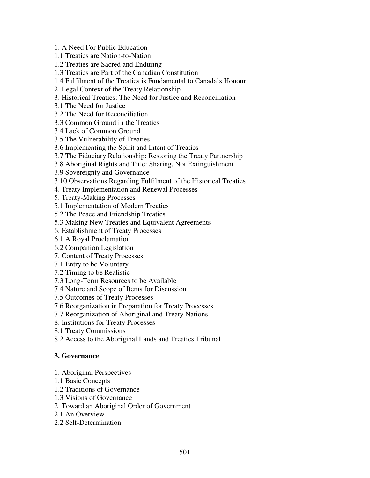1. A Need For Public Education

1.1 Treaties are Nation-to-Nation

1.2 Treaties are Sacred and Enduring

1.3 Treaties are Part of the Canadian Constitution

1.4 Fulfilment of the Treaties is Fundamental to Canada's Honour

2. Legal Context of the Treaty Relationship

3. Historical Treaties: The Need for Justice and Reconciliation

3.1 The Need for Justice

3.2 The Need for Reconciliation

3.3 Common Ground in the Treaties

3.4 Lack of Common Ground

3.5 The Vulnerability of Treaties

3.6 Implementing the Spirit and Intent of Treaties

3.7 The Fiduciary Relationship: Restoring the Treaty Partnership

3.8 Aboriginal Rights and Title: Sharing, Not Extinguishment

3.9 Sovereignty and Governance

3.10 Observations Regarding Fulfilment of the Historical Treaties

4. Treaty Implementation and Renewal Processes

5. Treaty-Making Processes

5.1 Implementation of Modern Treaties

5.2 The Peace and Friendship Treaties

5.3 Making New Treaties and Equivalent Agreements

6. Establishment of Treaty Processes

6.1 A Royal Proclamation

6.2 Companion Legislation

7. Content of Treaty Processes

7.1 Entry to be Voluntary

7.2 Timing to be Realistic

7.3 Long-Term Resources to be Available

7.4 Nature and Scope of Items for Discussion

7.5 Outcomes of Treaty Processes

7.6 Reorganization in Preparation for Treaty Processes

7.7 Reorganization of Aboriginal and Treaty Nations

8. Institutions for Treaty Processes

8.1 Treaty Commissions

8.2 Access to the Aboriginal Lands and Treaties Tribunal

## **3. Governance**

1. Aboriginal Perspectives

1.1 Basic Concepts

1.2 Traditions of Governance

1.3 Visions of Governance

2. Toward an Aboriginal Order of Government

2.1 An Overview

2.2 Self-Determination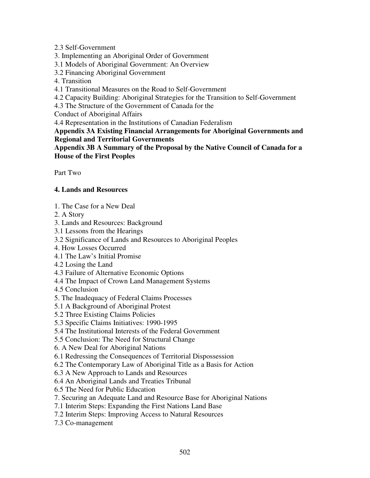### 2.3 Self-Government

- 3. Implementing an Aboriginal Order of Government
- 3.1 Models of Aboriginal Government: An Overview
- 3.2 Financing Aboriginal Government
- 4. Transition
- 4.1 Transitional Measures on the Road to Self-Government
- 4.2 Capacity Building: Aboriginal Strategies for the Transition to Self-Government
- 4.3 The Structure of the Government of Canada for the

Conduct of Aboriginal Affairs

4.4 Representation in the Institutions of Canadian Federalism

**Appendix 3A Existing Financial Arrangements for Aboriginal Governments and Regional and Territorial Governments**

**Appendix 3B A Summary of the Proposal by the Native Council of Canada for a House of the First Peoples**

Part Two

## **4. Lands and Resources**

- 1. The Case for a New Deal
- 2. A Story
- 3. Lands and Resources: Background
- 3.1 Lessons from the Hearings
- 3.2 Significance of Lands and Resources to Aboriginal Peoples
- 4. How Losses Occurred
- 4.1 The Law's Initial Promise
- 4.2 Losing the Land
- 4.3 Failure of Alternative Economic Options
- 4.4 The Impact of Crown Land Management Systems
- 4.5 Conclusion
- 5. The Inadequacy of Federal Claims Processes
- 5.1 A Background of Aboriginal Protest
- 5.2 Three Existing Claims Policies
- 5.3 Specific Claims Initiatives: 1990-1995
- 5.4 The Institutional Interests of the Federal Government
- 5.5 Conclusion: The Need for Structural Change
- 6. A New Deal for Aboriginal Nations
- 6.1 Redressing the Consequences of Territorial Dispossession
- 6.2 The Contemporary Law of Aboriginal Title as a Basis for Action
- 6.3 A New Approach to Lands and Resources
- 6.4 An Aboriginal Lands and Treaties Tribunal
- 6.5 The Need for Public Education
- 7. Securing an Adequate Land and Resource Base for Aboriginal Nations
- 7.1 Interim Steps: Expanding the First Nations Land Base
- 7.2 Interim Steps: Improving Access to Natural Resources
- 7.3 Co-management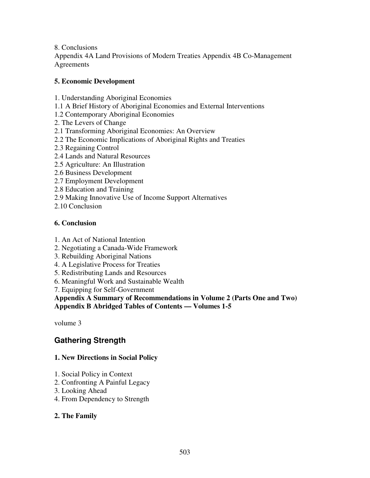8. Conclusions

Appendix 4A Land Provisions of Modern Treaties Appendix 4B Co-Management **Agreements** 

## **5. Economic Development**

- 1. Understanding Aboriginal Economies
- 1.1 A Brief History of Aboriginal Economies and External Interventions
- 1.2 Contemporary Aboriginal Economies
- 2. The Levers of Change
- 2.1 Transforming Aboriginal Economies: An Overview
- 2.2 The Economic Implications of Aboriginal Rights and Treaties
- 2.3 Regaining Control
- 2.4 Lands and Natural Resources
- 2.5 Agriculture: An Illustration
- 2.6 Business Development
- 2.7 Employment Development
- 2.8 Education and Training
- 2.9 Making Innovative Use of Income Support Alternatives
- 2.10 Conclusion

## **6. Conclusion**

- 1. An Act of National Intention
- 2. Negotiating a Canada-Wide Framework
- 3. Rebuilding Aboriginal Nations
- 4. A Legislative Process for Treaties
- 5. Redistributing Lands and Resources
- 6. Meaningful Work and Sustainable Wealth
- 7. Equipping for Self-Government

**Appendix A Summary of Recommendations in Volume 2 (Parts One and Two) Appendix B Abridged Tables of Contents — Volumes 1-5**

volume 3

# **Gathering Strength**

## **1. New Directions in Social Policy**

- 1. Social Policy in Context
- 2. Confronting A Painful Legacy
- 3. Looking Ahead
- 4. From Dependency to Strength

## **2. The Family**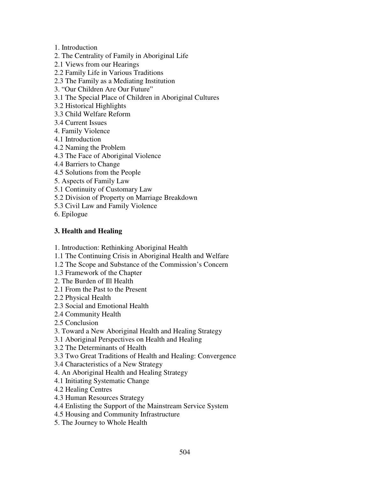- 1. Introduction
- 2. The Centrality of Family in Aboriginal Life
- 2.1 Views from our Hearings
- 2.2 Family Life in Various Traditions
- 2.3 The Family as a Mediating Institution
- 3. "Our Children Are Our Future"
- 3.1 The Special Place of Children in Aboriginal Cultures
- 3.2 Historical Highlights
- 3.3 Child Welfare Reform
- 3.4 Current Issues
- 4. Family Violence
- 4.1 Introduction
- 4.2 Naming the Problem
- 4.3 The Face of Aboriginal Violence
- 4.4 Barriers to Change
- 4.5 Solutions from the People
- 5. Aspects of Family Law
- 5.1 Continuity of Customary Law
- 5.2 Division of Property on Marriage Breakdown
- 5.3 Civil Law and Family Violence
- 6. Epilogue

## **3. Health and Healing**

- 1. Introduction: Rethinking Aboriginal Health
- 1.1 The Continuing Crisis in Aboriginal Health and Welfare
- 1.2 The Scope and Substance of the Commission's Concern
- 1.3 Framework of the Chapter
- 2. The Burden of Ill Health
- 2.1 From the Past to the Present
- 2.2 Physical Health
- 2.3 Social and Emotional Health
- 2.4 Community Health
- 2.5 Conclusion
- 3. Toward a New Aboriginal Health and Healing Strategy
- 3.1 Aboriginal Perspectives on Health and Healing
- 3.2 The Determinants of Health
- 3.3 Two Great Traditions of Health and Healing: Convergence
- 3.4 Characteristics of a New Strategy
- 4. An Aboriginal Health and Healing Strategy
- 4.1 Initiating Systematic Change
- 4.2 Healing Centres
- 4.3 Human Resources Strategy
- 4.4 Enlisting the Support of the Mainstream Service System
- 4.5 Housing and Community Infrastructure
- 5. The Journey to Whole Health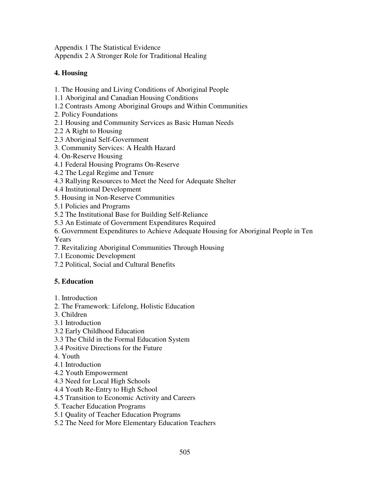Appendix 1 The Statistical Evidence

Appendix 2 A Stronger Role for Traditional Healing

## **4. Housing**

- 1. The Housing and Living Conditions of Aboriginal People
- 1.1 Aboriginal and Canadian Housing Conditions
- 1.2 Contrasts Among Aboriginal Groups and Within Communities
- 2. Policy Foundations
- 2.1 Housing and Community Services as Basic Human Needs
- 2.2 A Right to Housing
- 2.3 Aboriginal Self-Government
- 3. Community Services: A Health Hazard
- 4. On-Reserve Housing
- 4.1 Federal Housing Programs On-Reserve
- 4.2 The Legal Regime and Tenure
- 4.3 Rallying Resources to Meet the Need for Adequate Shelter
- 4.4 Institutional Development
- 5. Housing in Non-Reserve Communities
- 5.1 Policies and Programs
- 5.2 The Institutional Base for Building Self-Reliance
- 5.3 An Estimate of Government Expenditures Required
- 6. Government Expenditures to Achieve Adequate Housing for Aboriginal People in Ten Years
- 7. Revitalizing Aboriginal Communities Through Housing
- 7.1 Economic Development
- 7.2 Political, Social and Cultural Benefits

## **5. Education**

- 1. Introduction
- 2. The Framework: Lifelong, Holistic Education
- 3. Children
- 3.1 Introduction
- 3.2 Early Childhood Education
- 3.3 The Child in the Formal Education System
- 3.4 Positive Directions for the Future
- 4. Youth
- 4.1 Introduction
- 4.2 Youth Empowerment
- 4.3 Need for Local High Schools
- 4.4 Youth Re-Entry to High School
- 4.5 Transition to Economic Activity and Careers
- 5. Teacher Education Programs
- 5.1 Quality of Teacher Education Programs
- 5.2 The Need for More Elementary Education Teachers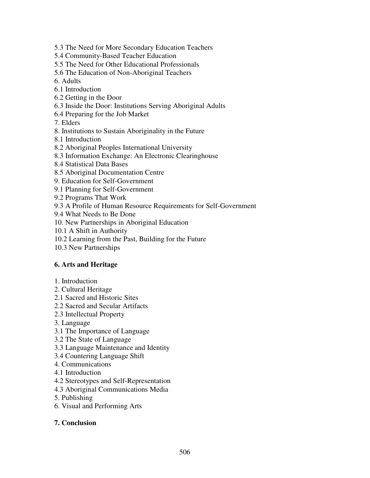- 5.3 The Need for More Secondary Education Teachers
- 5.4 Community-Based Teacher Education
- 5.5 The Need for Other Educational Professionals
- 5.6 The Education of Non-Aboriginal Teachers
- 6. Adults
- 6.1 Introduction
- 6.2 Getting in the Door
- 6.3 Inside the Door: Institutions Serving Aboriginal Adults
- 6.4 Preparing for the Job Market
- 7. Elders
- 8. Institutions to Sustain Aboriginality in the Future
- 8.1 Introduction
- 8.2 Aboriginal Peoples International University
- 8.3 Information Exchange: An Electronic Clearinghouse
- 8.4 Statistical Data Bases
- 8.5 Aboriginal Documentation Centre
- 9. Education for Self-Government
- 9.1 Planning for Self-Government
- 9.2 Programs That Work
- 9.3 A Profile of Human Resource Requirements for Self-Government
- 9.4 What Needs to Be Done
- 10. New Partnerships in Aboriginal Education
- 10.1 A Shift in Authority
- 10.2 Learning from the Past, Building for the Future
- 10.3 New Partnerships

## **6. Arts and Heritage**

- 1. Introduction
- 2. Cultural Heritage
- 2.1 Sacred and Historic Sites
- 2.2 Sacred and Secular Artifacts
- 2.3 Intellectual Property
- 3. Language
- 3.1 The Importance of Language
- 3.2 The State of Language
- 3.3 Language Maintenance and Identity
- 3.4 Countering Language Shift
- 4. Communications
- 4.1 Introduction
- 4.2 Stereotypes and Self-Representation
- 4.3 Aboriginal Communications Media
- 5. Publishing
- 6. Visual and Performing Arts
- **7. Conclusion**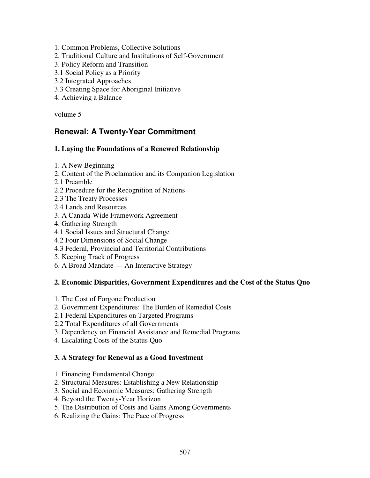- 1. Common Problems, Collective Solutions
- 2. Traditional Culture and Institutions of Self-Government
- 3. Policy Reform and Transition
- 3.1 Social Policy as a Priority
- 3.2 Integrated Approaches
- 3.3 Creating Space for Aboriginal Initiative
- 4. Achieving a Balance

volume 5

## **Renewal: A Twenty-Year Commitment**

#### **1. Laying the Foundations of a Renewed Relationship**

- 1. A New Beginning
- 2. Content of the Proclamation and its Companion Legislation
- 2.1 Preamble
- 2.2 Procedure for the Recognition of Nations
- 2.3 The Treaty Processes
- 2.4 Lands and Resources
- 3. A Canada-Wide Framework Agreement
- 4. Gathering Strength
- 4.1 Social Issues and Structural Change
- 4.2 Four Dimensions of Social Change
- 4.3 Federal, Provincial and Territorial Contributions
- 5. Keeping Track of Progress
- 6. A Broad Mandate An Interactive Strategy

## **2. Economic Disparities, Government Expenditures and the Cost of the Status Quo**

- 1. The Cost of Forgone Production
- 2. Government Expenditures: The Burden of Remedial Costs
- 2.1 Federal Expenditures on Targeted Programs
- 2.2 Total Expenditures of all Governments
- 3. Dependency on Financial Assistance and Remedial Programs
- 4. Escalating Costs of the Status Quo

## **3. A Strategy for Renewal as a Good Investment**

- 1. Financing Fundamental Change
- 2. Structural Measures: Establishing a New Relationship
- 3. Social and Economic Measures: Gathering Strength
- 4. Beyond the Twenty-Year Horizon
- 5. The Distribution of Costs and Gains Among Governments
- 6. Realizing the Gains: The Pace of Progress